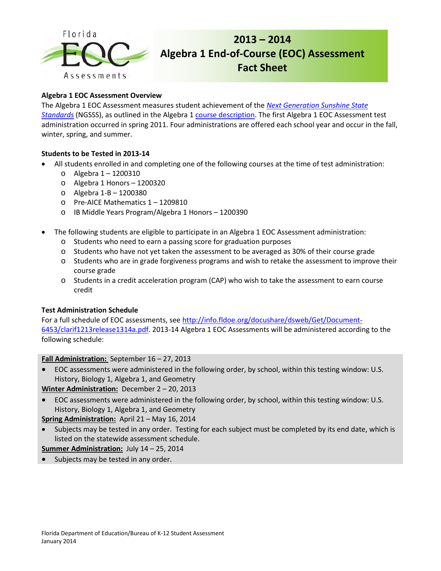

# **2013 – 2014 Algebra 1 End-of-Course (EOC) Assessment Fact Sheet**

# **Algebra 1 EOC Assessment Overview**

The Algebra 1 EOC Assessment measures student achievement of the *[Next Generation Sunshine State](http://www.floridastandards.org/index.aspx)  [Standards](http://www.floridastandards.org/index.aspx)* (NGSSS), as outlined in the Algebra 1 [course description.](http://www.floridastandards.org/Courses/PublicPreviewCourse1.aspx) The first Algebra 1 EOC Assessment test administration occurred in spring 2011. Four administrations are offered each school year and occur in the fall, winter, spring, and summer.

# **Students to be Tested in 2013-14**

- All students enrolled in and completing one of the following courses at the time of test administration:
	- o Algebra 1 1200310
	- o Algebra 1 Honors 1200320
	- o Algebra 1-B 1200380
	- o Pre-AICE Mathematics 1 1209810
	- o IB Middle Years Program/Algebra 1 Honors 1200390
- The following students are eligible to participate in an Algebra 1 EOC Assessment administration:
	- o Students who need to earn a passing score for graduation purposes
	- o Students who have not yet taken the assessment to be averaged as 30% of their course grade
	- o Students who are in grade forgiveness programs and wish to retake the assessment to improve their course grade
	- o Students in a credit acceleration program (CAP) who wish to take the assessment to earn course credit

### **Test Administration Schedule**

For a full schedule of EOC assessments, see [http://info.fldoe.org/docushare/dsweb/Get/Document-](http://info.fldoe.org/docushare/dsweb/Get/Document-6453/clarif1213release1314a.pdf)[6453/clarif1213release1314a.pdf.](http://info.fldoe.org/docushare/dsweb/Get/Document-6453/clarif1213release1314a.pdf) 2013-14 Algebra 1 EOC Assessments will be administered according to the following schedule:

### **Fall Administration:** September 16 – 27, 2013

• EOC assessments were administered in the following order, by school, within this testing window: U.S. History, Biology 1, Algebra 1, and Geometry

**Winter Administration:** December 2 – 20, 2013

• EOC assessments were administered in the following order, by school, within this testing window: U.S. History, Biology 1, Algebra 1, and Geometry

**Spring Administration:** April 21 – May 16, 2014

Subjects may be tested in any order. Testing for each subject must be completed by its end date, which is listed on the statewide assessment schedule.

**Summer Administration:** July 14 – 25, 2014

Subjects may be tested in any order.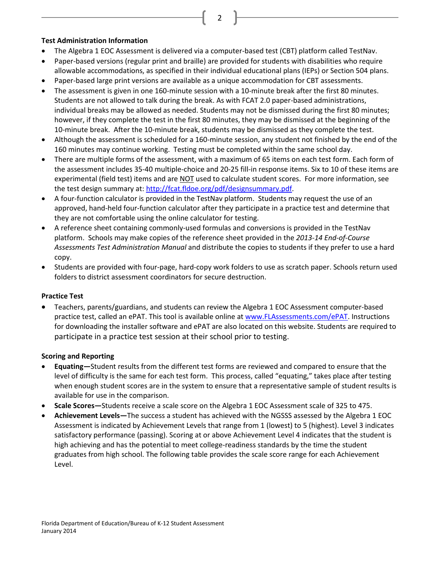#### **Test Administration Information**

- The Algebra 1 EOC Assessment is delivered via a computer-based test (CBT) platform called TestNav.
- Paper-based versions (regular print and braille) are provided for students with disabilities who require allowable accommodations, as specified in their individual educational plans (IEPs) or Section 504 plans.

2

- Paper-based large print versions are available as a unique accommodation for CBT assessments.
- The assessment is given in one 160-minute session with a 10-minute break after the first 80 minutes. Students are not allowed to talk during the break. As with FCAT 2.0 paper-based administrations, individual breaks may be allowed as needed. Students may not be dismissed during the first 80 minutes; however, if they complete the test in the first 80 minutes, they may be dismissed at the beginning of the 10-minute break. After the 10-minute break, students may be dismissed as they complete the test.
- Although the assessment is scheduled for a 160-minute session, any student not finished by the end of the 160 minutes may continue working. Testing must be completed within the same school day.
- There are multiple forms of the assessment, with a maximum of 65 items on each test form. Each form of the assessment includes 35-40 multiple-choice and 20-25 fill-in response items. Six to 10 of these items are experimental (field test) items and are NOT used to calculate student scores. For more information, see the test design summary at: [http://fcat.fldoe.org/pdf/designsummary.pdf.](http://fcat.fldoe.org/pdf/designsummary.pdf)
- A four-function calculator is provided in the TestNav platform. Students may request the use of an approved, hand-held four-function calculator after they participate in a practice test and determine that they are not comfortable using the online calculator for testing.
- A reference sheet containing commonly-used formulas and conversions is provided in the TestNav platform. Schools may make copies of the reference sheet provided in the *2013-14 End-of-Course Assessments Test Administration Manual* and distribute the copies to students if they prefer to use a hard copy.
- Students are provided with four-page, hard-copy work folders to use as scratch paper. Schools return used folders to district assessment coordinators for secure destruction.

### **Practice Test**

• Teachers, parents/guardians, and students can review the Algebra 1 EOC Assessment computer-based practice test, called an ePAT. This tool is available online a[t www.FLAssessments.com/ePAT.](http://www.flassessments.com/ePAT) Instructions for downloading the installer software and ePAT are also located on this website. Students are required to participate in a practice test session at their school prior to testing.

#### **Scoring and Reporting**

- **Equating—**Student results from the different test forms are reviewed and compared to ensure that the level of difficulty is the same for each test form. This process, called "equating," takes place after testing when enough student scores are in the system to ensure that a representative sample of student results is available for use in the comparison.
- **Scale Scores—**Students receive a scale score on the Algebra 1 EOC Assessment scale of 325 to 475.
- **Achievement Levels—**The success a student has achieved with the NGSSS assessed by the Algebra 1 EOC Assessment is indicated by Achievement Levels that range from 1 (lowest) to 5 (highest). Level 3 indicates satisfactory performance (passing). Scoring at or above Achievement Level 4 indicates that the student is high achieving and has the potential to meet college-readiness standards by the time the student graduates from high school. The following table provides the scale score range for each Achievement Level.